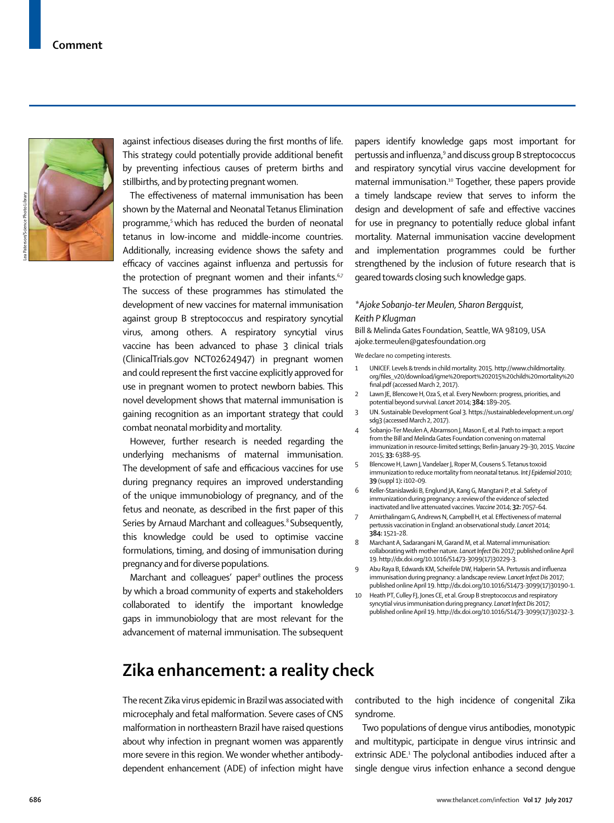against infectious diseases during the first months of life. This strategy could potentially provide additional benefit by preventing infectious causes of preterm births and stillbirths, and by protecting pregnant women.

The effectiveness of maternal immunisation has been shown by the Maternal and Neonatal Tetanus Elimination programme,<sup>5</sup> which has reduced the burden of neonatal tetanus in low-income and middle-income countries. Additionally, increasing evidence shows the safety and efficacy of vaccines against influenza and pertussis for the protection of pregnant women and their infants. $67$ The success of these programmes has stimulated the development of new vaccines for maternal immunisation against group B streptococcus and respiratory syncytial virus, among others. A respiratory syncytial virus vaccine has been advanced to phase 3 clinical trials (ClinicalTrials.gov NCT02624947) in pregnant women and could represent the first vaccine explicitly approved for use in pregnant women to protect newborn babies. This novel development shows that maternal immunisation is gaining recognition as an important strategy that could combat neonatal morbidity and mortality.

However, further research is needed regarding the underlying mechanisms of maternal immunisation. The development of safe and efficacious vaccines for use during pregnancy requires an improved understanding of the unique immunobiology of pregnancy, and of the fetus and neonate, as described in the first paper of this Series by Arnaud Marchant and colleagues.<sup>8</sup> Subsequently, this knowledge could be used to optimise vaccine formulations, timing, and dosing of immunisation during pregnancy and for diverse populations.

Marchant and colleaques' paper<sup>8</sup> outlines the process by which a broad community of experts and stakeholders collaborated to identify the important knowledge gaps in immunobiology that are most relevant for the advancement of maternal immunisation. The subsequent

## **Zika enhancement: a reality check**

The recent Zika virus epidemic in Brazil was associated with microcephaly and fetal malformation. Severe cases of CNS malformation in northeastern Brazil have raised questions about why infection in pregnant women was apparently more severe in this region. We wonder whether antibodydependent enhancement (ADE) of infection might have papers identify knowledge gaps most important for pertussis and influenza,<sup>9</sup> and discuss group B streptococcus and respiratory syncytial virus vaccine development for maternal immunisation.<sup>10</sup> Together, these papers provide a timely landscape review that serves to inform the design and development of safe and effective vaccines for use in pregnancy to potentially reduce global infant mortality. Maternal immunisation vaccine development and implementation programmes could be further strengthened by the inclusion of future research that is geared towards closing such knowledge gaps.

## *\*Ajoke Sobanjo-ter Meulen, Sharon Bergquist, Keith P Klugman*

Bill & Melinda Gates Foundation, Seattle, WA 98109, USA ajoke.termeulen@gatesfoundation.org

We declare no competing interests.

- 1 UNICEF. Levels & trends in child mortality. 2015. http://www.childmortality. org/files\_v20/download/igme%20report%202015%20child%20mortality%20 final.pdf (accessed March 2, 2017).
- Lawn JE, Blencowe H, Oza S, et al. Every Newborn: progress, priorities, and potential beyond survival. *Lancet* 2014; **384:** 189–205.
- 3 UN. Sustainable Development Goal 3. https://sustainabledevelopment.un.org/ sdg3 (accessed March 2, 2017).
- 4 Sobanjo-Ter Meulen A, Abramson J, Mason E, et al. Path to impact: a report from the Bill and Melinda Gates Foundation convening on maternal immunization in resource-limited settings; Berlin-January 29–30, 2015. *Vaccine* 2015; **33:** 6388–95.
- 5 Blencowe H, Lawn J, Vandelaer J, Roper M, Cousens S. Tetanus toxoid immunization to reduce mortality from neonatal tetanus. *Int J Epidemiol* 2010; **39** (suppl 1)**:** i102–09.
- 6 Keller-Stanislawski B, Englund JA, Kang G, Mangtani P, et al. Safety of immunization during pregnancy: a review of the evidence of selected inactivated and live attenuated vaccines. *Vaccine* 2014; **32:** 7057–64.
- 7 Amirthalingam G, Andrews N, Campbell H, et al. Effectiveness of maternal pertussis vaccination in England: an observational study. *Lancet* 2014; **384:** 1521–28.
- 8 Marchant A, Sadarangani M, Garand M, et al. Maternal immunisation: collaborating with mother nature. *Lancet Infect Dis* 2017; published online April 19. http://dx.doi.org/10.1016/S1473-3099(17)30229-3.
- 9 Abu Raya B, Edwards KM, Scheifele DW, Halperin SA. Pertussis and influenza immunisation during pregnancy: a landscape review. *Lancet Infect Dis* 2017; published online April 19. http://dx.doi.org/10.1016/S1473-3099(17)30190-1.
- 10 Heath PT, Culley FJ, Jones CE, et al. Group B streptococcus and respiratory syncytial virus immunisation during pregnancy. *Lancet Infect Dis* 2017; published online April 19. http://dx.doi.org/10.1016/S1473-3099(17)30232-3.

contributed to the high incidence of congenital Zika

Two populations of dengue virus antibodies, monotypic and multitypic, participate in dengue virus intrinsic and extrinsic ADE.<sup>1</sup> The polyclonal antibodies induced after a single dengue virus infection enhance a second dengue

syndrome.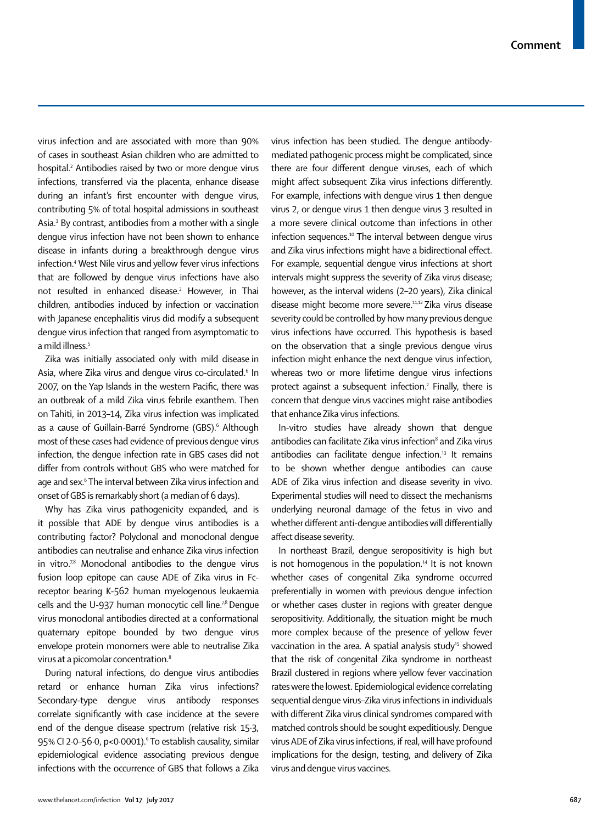virus infection and are associated with more than 90% of cases in southeast Asian children who are admitted to hospital.<sup>2</sup> Antibodies raised by two or more dengue virus infections, transferred via the placenta, enhance disease during an infant's first encounter with dengue virus, contributing 5% of total hospital admissions in southeast Asia.<sup>3</sup> By contrast, antibodies from a mother with a single dengue virus infection have not been shown to enhance disease in infants during a breakthrough dengue virus infection.<sup>4</sup> West Nile virus and yellow fever virus infections that are followed by dengue virus infections have also not resulted in enhanced disease.<sup>2</sup> However, in Thai children, antibodies induced by infection or vaccination with Japanese encephalitis virus did modify a subsequent dengue virus infection that ranged from asymptomatic to a mild illness.<sup>5</sup>

Zika was initially associated only with mild disease in Asia, where Zika virus and dengue virus co-circulated.<sup>6</sup> In 2007, on the Yap Islands in the western Pacific, there was an outbreak of a mild Zika virus febrile exanthem. Then on Tahiti, in 2013–14, Zika virus infection was implicated as a cause of Guillain-Barré Syndrome (GBS).<sup>6</sup> Although most of these cases had evidence of previous dengue virus infection, the dengue infection rate in GBS cases did not differ from controls without GBS who were matched for age and sex.<sup>6</sup> The interval between Zika virus infection and onset of GBS is remarkably short (a median of 6 days).

Why has Zika virus pathogenicity expanded, and is it possible that ADE by dengue virus antibodies is a contributing factor? Polyclonal and monoclonal dengue antibodies can neutralise and enhance Zika virus infection in vitro. $78$  Monoclonal antibodies to the dengue virus fusion loop epitope can cause ADE of Zika virus in Fcreceptor bearing K-562 human myelogenous leukaemia cells and the U-937 human monocytic cell line.<sup>78</sup> Dengue virus monoclonal antibodies directed at a conformational quaternary epitope bounded by two dengue virus envelope protein monomers were able to neutralise Zika virus at a picomolar concentration.<sup>8</sup>

During natural infections, do dengue virus antibodies retard or enhance human Zika virus infections? Secondary-type dengue virus antibody responses correlate significantly with case incidence at the severe end of the dengue disease spectrum (relative risk 15·3, 95% CI 2·0–56·0, p<0·0001).<sup>9</sup> To establish causality, similar epidemiological evidence associating previous dengue infections with the occurrence of GBS that follows a Zika

virus infection has been studied. The dengue antibodymediated pathogenic process might be complicated, since there are four different dengue viruses, each of which might affect subsequent Zika virus infections differently. For example, infections with dengue virus 1 then dengue virus 2, or dengue virus 1 then dengue virus 3 resulted in a more severe clinical outcome than infections in other infection sequences.<sup>10</sup> The interval between denque virus and Zika virus infections might have a bidirectional effect. For example, sequential dengue virus infections at short intervals might suppress the severity of Zika virus disease; however, as the interval widens (2–20 years), Zika clinical disease might become more severe.11,12 Zika virus disease severity could be controlled by how many previous dengue virus infections have occurred. This hypothesis is based on the observation that a single previous dengue virus infection might enhance the next dengue virus infection, whereas two or more lifetime dengue virus infections protect against a subsequent infection.<sup>2</sup> Finally, there is concern that dengue virus vaccines might raise antibodies that enhance Zika virus infections.

In-vitro studies have already shown that dengue antibodies can facilitate Zika virus infection $^{\text{\tiny{8}}}$  and Zika virus antibodies can facilitate denque infection.<sup>13</sup> It remains to be shown whether dengue antibodies can cause ADE of Zika virus infection and disease severity in vivo. Experimental studies will need to dissect the mechanisms underlying neuronal damage of the fetus in vivo and whether different anti-dengue antibodies will differentially affect disease severity.

In northeast Brazil, dengue seropositivity is high but is not homogenous in the population.<sup>14</sup> It is not known whether cases of congenital Zika syndrome occurred preferentially in women with previous dengue infection or whether cases cluster in regions with greater dengue seropositivity. Additionally, the situation might be much more complex because of the presence of yellow fever vaccination in the area. A spatial analysis study<sup>15</sup> showed that the risk of congenital Zika syndrome in northeast Brazil clustered in regions where yellow fever vaccination rates were the lowest. Epidemiological evidence correlating sequential dengue virus–Zika virus infections in individuals with different Zika virus clinical syndromes compared with matched controls should be sought expeditiously. Dengue virus ADE of Zika virus infections, if real, will have profound implications for the design, testing, and delivery of Zika virus and dengue virus vaccines.